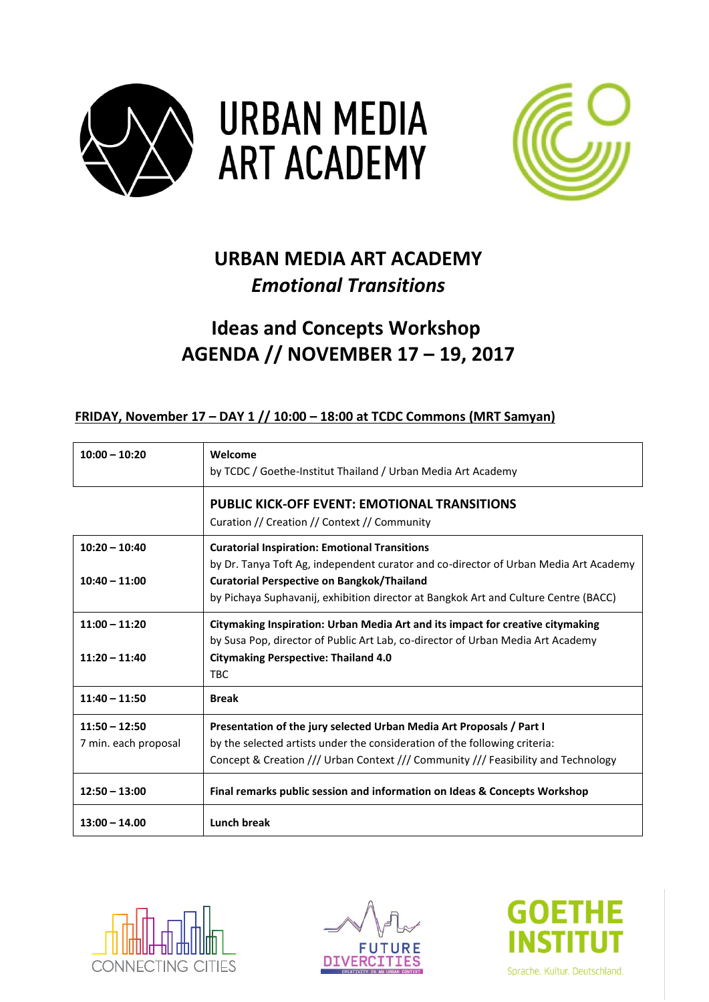



## **URBAN MEDIA ART ACADEMY** *Emotional Transitions*

# **Ideas and Concepts Workshop AGENDA // NOVEMBER 17 – 19, 2017**

#### **FRIDAY, November 17 – DAY 1 // 10:00 – 18:00 at TCDC Commons (MRT Samyan)**

| $10:00 - 10:20$                         | Welcome<br>by TCDC / Goethe-Institut Thailand / Urban Media Art Academy                                                                                                                                                                                                                  |
|-----------------------------------------|------------------------------------------------------------------------------------------------------------------------------------------------------------------------------------------------------------------------------------------------------------------------------------------|
|                                         | <b>PUBLIC KICK-OFF EVENT: EMOTIONAL TRANSITIONS</b><br>Curation // Creation // Context // Community                                                                                                                                                                                      |
| $10:20 - 10:40$<br>$10:40 - 11:00$      | <b>Curatorial Inspiration: Emotional Transitions</b><br>by Dr. Tanya Toft Ag, independent curator and co-director of Urban Media Art Academy<br><b>Curatorial Perspective on Bangkok/Thailand</b><br>by Pichaya Suphavanij, exhibition director at Bangkok Art and Culture Centre (BACC) |
| $11:00 - 11:20$<br>$11:20 - 11:40$      | Citymaking Inspiration: Urban Media Art and its impact for creative citymaking<br>by Susa Pop, director of Public Art Lab, co-director of Urban Media Art Academy<br><b>Citymaking Perspective: Thailand 4.0</b><br><b>TBC</b>                                                           |
| $11:40 - 11:50$                         | <b>Break</b>                                                                                                                                                                                                                                                                             |
| $11:50 - 12:50$<br>7 min. each proposal | Presentation of the jury selected Urban Media Art Proposals / Part I<br>by the selected artists under the consideration of the following criteria:<br>Concept & Creation /// Urban Context /// Community /// Feasibility and Technology                                                  |
| $12:50 - 13:00$                         | Final remarks public session and information on Ideas & Concepts Workshop                                                                                                                                                                                                                |
| $13:00 - 14.00$                         | <b>Lunch break</b>                                                                                                                                                                                                                                                                       |





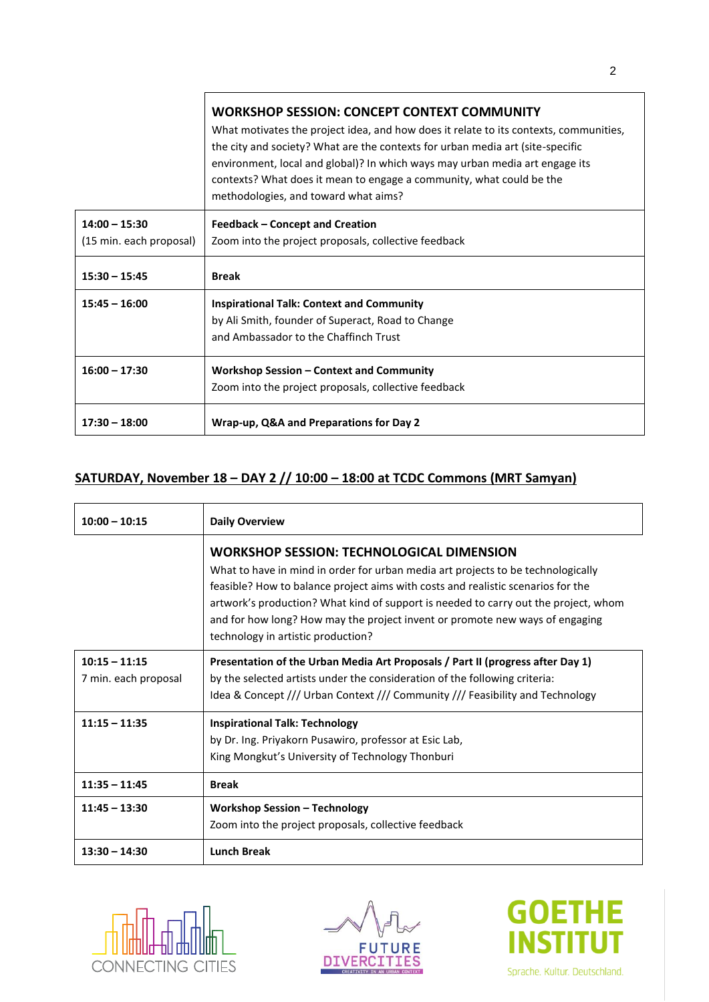|                         | <b>WORKSHOP SESSION: CONCEPT CONTEXT COMMUNITY</b><br>What motivates the project idea, and how does it relate to its contexts, communities,<br>the city and society? What are the contexts for urban media art (site-specific<br>environment, local and global)? In which ways may urban media art engage its<br>contexts? What does it mean to engage a community, what could be the<br>methodologies, and toward what aims? |
|-------------------------|-------------------------------------------------------------------------------------------------------------------------------------------------------------------------------------------------------------------------------------------------------------------------------------------------------------------------------------------------------------------------------------------------------------------------------|
| $14:00 - 15:30$         | <b>Feedback - Concept and Creation</b>                                                                                                                                                                                                                                                                                                                                                                                        |
| (15 min. each proposal) | Zoom into the project proposals, collective feedback                                                                                                                                                                                                                                                                                                                                                                          |
| $15:30 - 15:45$         | <b>Break</b>                                                                                                                                                                                                                                                                                                                                                                                                                  |
| $15:45 - 16:00$         | <b>Inspirational Talk: Context and Community</b>                                                                                                                                                                                                                                                                                                                                                                              |
|                         | by Ali Smith, founder of Superact, Road to Change                                                                                                                                                                                                                                                                                                                                                                             |
|                         | and Ambassador to the Chaffinch Trust                                                                                                                                                                                                                                                                                                                                                                                         |
| $16:00 - 17:30$         | Workshop Session - Context and Community                                                                                                                                                                                                                                                                                                                                                                                      |
|                         | Zoom into the project proposals, collective feedback                                                                                                                                                                                                                                                                                                                                                                          |
| $17:30 - 18:00$         | Wrap-up, Q&A and Preparations for Day 2                                                                                                                                                                                                                                                                                                                                                                                       |

## **SATURDAY, November 18 – DAY 2 // 10:00 – 18:00 at TCDC Commons (MRT Samyan)**

| $10:00 - 10:15$                         | <b>Daily Overview</b>                                                                                                                                                                                                                                                                                                                                                                                                                 |
|-----------------------------------------|---------------------------------------------------------------------------------------------------------------------------------------------------------------------------------------------------------------------------------------------------------------------------------------------------------------------------------------------------------------------------------------------------------------------------------------|
|                                         | <b>WORKSHOP SESSION: TECHNOLOGICAL DIMENSION</b><br>What to have in mind in order for urban media art projects to be technologically<br>feasible? How to balance project aims with costs and realistic scenarios for the<br>artwork's production? What kind of support is needed to carry out the project, whom<br>and for how long? How may the project invent or promote new ways of engaging<br>technology in artistic production? |
| $10:15 - 11:15$<br>7 min. each proposal | Presentation of the Urban Media Art Proposals / Part II (progress after Day 1)<br>by the selected artists under the consideration of the following criteria:<br>Idea & Concept /// Urban Context /// Community /// Feasibility and Technology                                                                                                                                                                                         |
| $11:15 - 11:35$                         | <b>Inspirational Talk: Technology</b><br>by Dr. Ing. Priyakorn Pusawiro, professor at Esic Lab,<br>King Mongkut's University of Technology Thonburi                                                                                                                                                                                                                                                                                   |
| $11:35 - 11:45$                         | <b>Break</b>                                                                                                                                                                                                                                                                                                                                                                                                                          |
| $11:45 - 13:30$                         | <b>Workshop Session - Technology</b><br>Zoom into the project proposals, collective feedback                                                                                                                                                                                                                                                                                                                                          |
| $13:30 - 14:30$                         | <b>Lunch Break</b>                                                                                                                                                                                                                                                                                                                                                                                                                    |